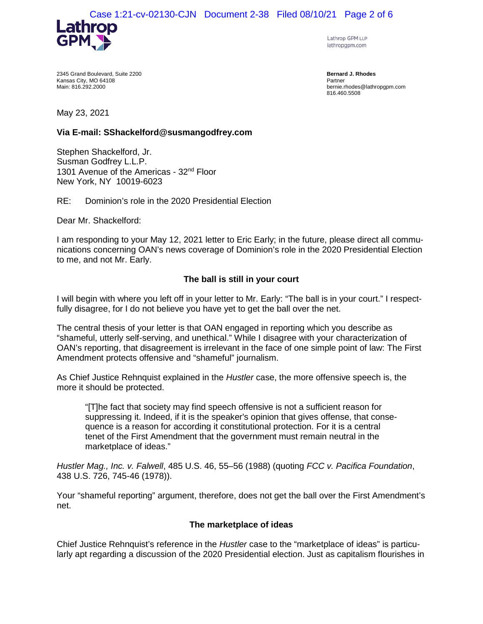

Lathrop GPM LLP lathropgpm.com

2345 Grand Boulevard, Suite 2200 Kansas City, MO 64108 Main: 816.292.2000

**Bernard J. Rhodes**  Partner bernie.rhodes@lathropgpm.com 816.460.5508

May 23, 2021

# **Via E-mail: SShackelford@susmangodfrey.com**

Stephen Shackelford, Jr. Susman Godfrey L.L.P. 1301 Avenue of the Americas - 32<sup>nd</sup> Floor New York, NY 10019-6023

RE: Dominion's role in the 2020 Presidential Election

Dear Mr. Shackelford:

I am responding to your May 12, 2021 letter to Eric Early; in the future, please direct all communications concerning OAN's news coverage of Dominion's role in the 2020 Presidential Election to me, and not Mr. Early.

# **The ball is still in your court**

I will begin with where you left off in your letter to Mr. Early: "The ball is in your court." I respectfully disagree, for I do not believe you have yet to get the ball over the net.

The central thesis of your letter is that OAN engaged in reporting which you describe as "shameful, utterly self-serving, and unethical." While I disagree with your characterization of OAN's reporting, that disagreement is irrelevant in the face of one simple point of law: The First Amendment protects offensive and "shameful" journalism.

As Chief Justice Rehnquist explained in the *Hustler* case, the more offensive speech is, the more it should be protected.

"[T]he fact that society may find speech offensive is not a sufficient reason for suppressing it. Indeed, if it is the speaker's opinion that gives offense, that consequence is a reason for according it constitutional protection. For it is a central tenet of the First Amendment that the government must remain neutral in the marketplace of ideas."

*Hustler Mag., Inc. v. Falwell*, 485 U.S. 46, 55–56 (1988) (quoting *FCC v. Pacifica Foundation*, 438 U.S. 726, 745-46 (1978)).

Your "shameful reporting" argument, therefore, does not get the ball over the First Amendment's net.

### **The marketplace of ideas**

Chief Justice Rehnquist's reference in the *Hustler* case to the "marketplace of ideas" is particularly apt regarding a discussion of the 2020 Presidential election. Just as capitalism flourishes in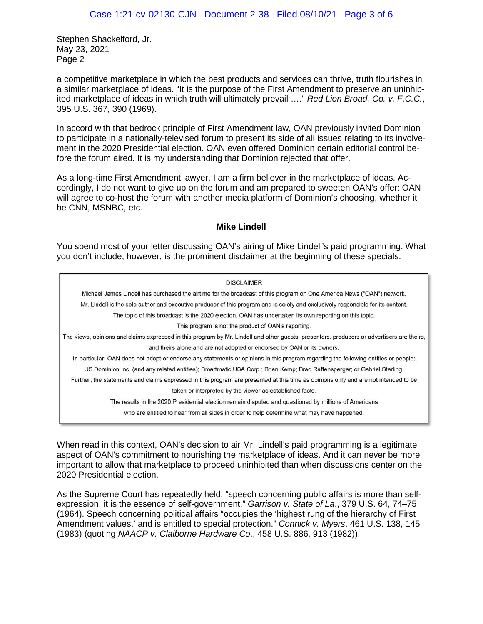a competitive marketplace in which the best products and services can thrive, truth flourishes in a similar marketplace of ideas. "It is the purpose of the First Amendment to preserve an uninhibited marketplace of ideas in which truth will ultimately prevail …." *Red Lion Broad. Co. v. F.C.C.*, 395 U.S. 367, 390 (1969).

In accord with that bedrock principle of First Amendment law, OAN previously invited Dominion to participate in a nationally-televised forum to present its side of all issues relating to its involvement in the 2020 Presidential election. OAN even offered Dominion certain editorial control before the forum aired. It is my understanding that Dominion rejected that offer.

As a long-time First Amendment lawyer, I am a firm believer in the marketplace of ideas. Accordingly, I do not want to give up on the forum and am prepared to sweeten OAN's offer: OAN will agree to co-host the forum with another media platform of Dominion's choosing, whether it be CNN, MSNBC, etc.

# **Mike Lindell**

You spend most of your letter discussing OAN's airing of Mike Lindell's paid programming. What you don't include, however, is the prominent disclaimer at the beginning of these specials:

| <b>DISCLAIMER</b>                                                                                                                          |
|--------------------------------------------------------------------------------------------------------------------------------------------|
| Michael James Lindell has purchased the airtime for the broadcast of this program on One America News ("OAN") network.                     |
| Mr. Lindell is the sole author and executive producer of this program and is solely and exclusively responsible for its content.           |
| The topic of this broadcast is the 2020 election. OAN has undertaken its own reporting on this topic.                                      |
| This program is not the product of OAN's reporting.                                                                                        |
| The views, opinions and claims expressed in this program by Mr. Lindell and other guests. presenters, producers or advertisers are theirs, |
| and theirs alone and are not adopted or endorsed by OAN or its owners.                                                                     |
| In particular, OAN does not adopt or endorse any statements or opinions in this program regarding the following entities or people:        |
| US Dominion Inc. (and any related entities); Smartmatic USA Corp.; Brian Kemp; Brad Raffensperger; or Gabriel Sterling.                    |
| Further, the statements and claims expressed in this program are presented at this time as opinions only and are not intended to be        |
| taken or interpreted by the viewer as established facts.                                                                                   |
| The results in the 2020 Presidential election remain disputed and questioned by millions of Americans                                      |
| who are entitled to hear from all sides in order to help determine what may have happened.                                                 |
|                                                                                                                                            |

When read in this context, OAN's decision to air Mr. Lindell's paid programming is a legitimate aspect of OAN's commitment to nourishing the marketplace of ideas. And it can never be more important to allow that marketplace to proceed uninhibited than when discussions center on the 2020 Presidential election.

As the Supreme Court has repeatedly held, "speech concerning public affairs is more than selfexpression; it is the essence of self-government." *Garrison v. State of La*., 379 U.S. 64, 74–75 (1964). Speech concerning political affairs "occupies the 'highest rung of the hierarchy of First Amendment values,' and is entitled to special protection." *Connick v. Myers*, 461 U.S. 138, 145 (1983) (quoting *NAACP v. Claiborne Hardware Co*., 458 U.S. 886, 913 (1982)).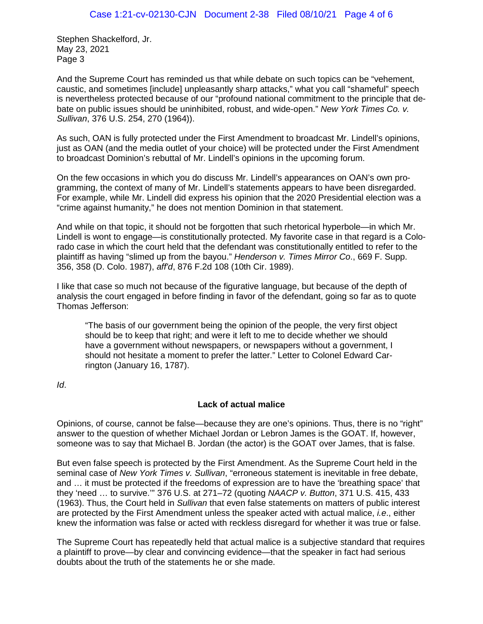And the Supreme Court has reminded us that while debate on such topics can be "vehement, caustic, and sometimes [include] unpleasantly sharp attacks," what you call "shameful" speech is nevertheless protected because of our "profound national commitment to the principle that debate on public issues should be uninhibited, robust, and wide-open." *New York Times Co. v. Sullivan*, 376 U.S. 254, 270 (1964)).

As such, OAN is fully protected under the First Amendment to broadcast Mr. Lindell's opinions, just as OAN (and the media outlet of your choice) will be protected under the First Amendment to broadcast Dominion's rebuttal of Mr. Lindell's opinions in the upcoming forum.

On the few occasions in which you do discuss Mr. Lindell's appearances on OAN's own programming, the context of many of Mr. Lindell's statements appears to have been disregarded. For example, while Mr. Lindell did express his opinion that the 2020 Presidential election was a "crime against humanity," he does not mention Dominion in that statement.

And while on that topic, it should not be forgotten that such rhetorical hyperbole—in which Mr. Lindell is wont to engage—is constitutionally protected. My favorite case in that regard is a Colorado case in which the court held that the defendant was constitutionally entitled to refer to the plaintiff as having "slimed up from the bayou." *Henderson v. Times Mirror Co*., 669 F. Supp. 356, 358 (D. Colo. 1987), *aff'd*, 876 F.2d 108 (10th Cir. 1989).

I like that case so much not because of the figurative language, but because of the depth of analysis the court engaged in before finding in favor of the defendant, going so far as to quote Thomas Jefferson:

"The basis of our government being the opinion of the people, the very first object should be to keep that right; and were it left to me to decide whether we should have a government without newspapers, or newspapers without a government, I should not hesitate a moment to prefer the latter." Letter to Colonel Edward Carrington (January 16, 1787).

*Id*.

# **Lack of actual malice**

Opinions, of course, cannot be false—because they are one's opinions. Thus, there is no "right" answer to the question of whether Michael Jordan or Lebron James is the GOAT. If, however, someone was to say that Michael B. Jordan (the actor) is the GOAT over James, that is false.

But even false speech is protected by the First Amendment. As the Supreme Court held in the seminal case of *New York Times v. Sullivan*, "erroneous statement is inevitable in free debate, and … it must be protected if the freedoms of expression are to have the 'breathing space' that they 'need … to survive.'" 376 U.S. at 271–72 (quoting *NAACP v. Button*, 371 U.S. 415, 433 (1963). Thus, the Court held in *Sullivan* that even false statements on matters of public interest are protected by the First Amendment unless the speaker acted with actual malice, *i.e*., either knew the information was false or acted with reckless disregard for whether it was true or false.

The Supreme Court has repeatedly held that actual malice is a subjective standard that requires a plaintiff to prove—by clear and convincing evidence—that the speaker in fact had serious doubts about the truth of the statements he or she made.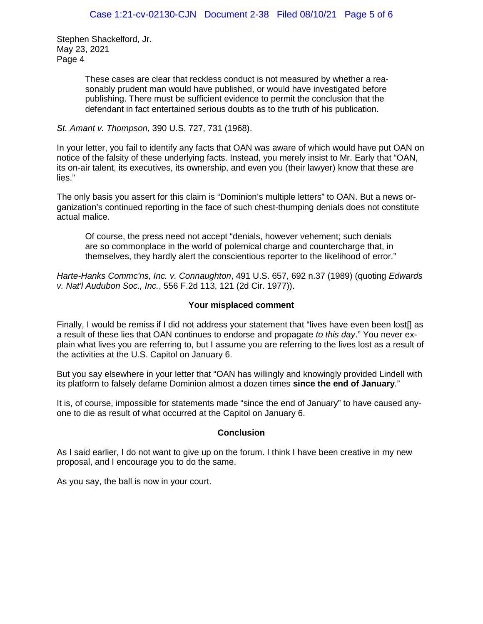> These cases are clear that reckless conduct is not measured by whether a reasonably prudent man would have published, or would have investigated before publishing. There must be sufficient evidence to permit the conclusion that the defendant in fact entertained serious doubts as to the truth of his publication.

## *St. Amant v. Thompson*, 390 U.S. 727, 731 (1968).

In your letter, you fail to identify any facts that OAN was aware of which would have put OAN on notice of the falsity of these underlying facts. Instead, you merely insist to Mr. Early that "OAN, its on-air talent, its executives, its ownership, and even you (their lawyer) know that these are lies."

The only basis you assert for this claim is "Dominion's multiple letters" to OAN. But a news organization's continued reporting in the face of such chest-thumping denials does not constitute actual malice.

Of course, the press need not accept "denials, however vehement; such denials are so commonplace in the world of polemical charge and countercharge that, in themselves, they hardly alert the conscientious reporter to the likelihood of error."

*Harte-Hanks Commc'ns, Inc. v. Connaughton*, 491 U.S. 657, 692 n.37 (1989) (quoting *Edwards v. Nat'l Audubon Soc., Inc.*, 556 F.2d 113, 121 (2d Cir. 1977)).

# **Your misplaced comment**

Finally, I would be remiss if I did not address your statement that "lives have even been lost[] as a result of these lies that OAN continues to endorse and propagate *to this day*." You never explain what lives you are referring to, but I assume you are referring to the lives lost as a result of the activities at the U.S. Capitol on January 6.

But you say elsewhere in your letter that "OAN has willingly and knowingly provided Lindell with its platform to falsely defame Dominion almost a dozen times **since the end of January**."

It is, of course, impossible for statements made "since the end of January" to have caused anyone to die as result of what occurred at the Capitol on January 6.

### **Conclusion**

As I said earlier, I do not want to give up on the forum. I think I have been creative in my new proposal, and I encourage you to do the same.

As you say, the ball is now in your court.